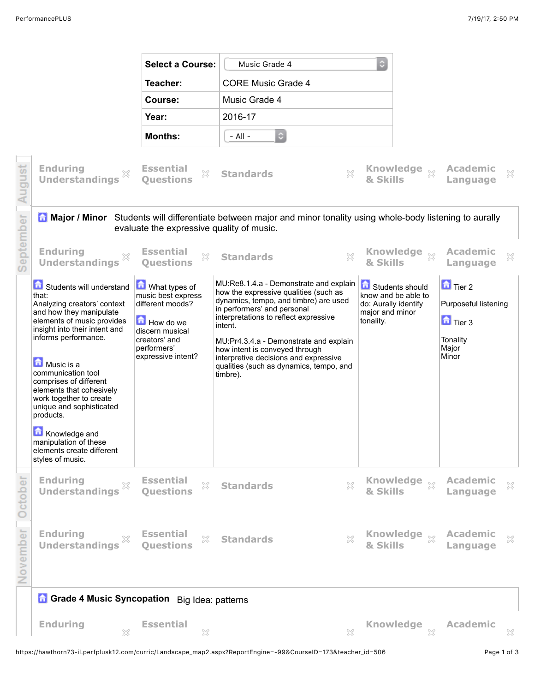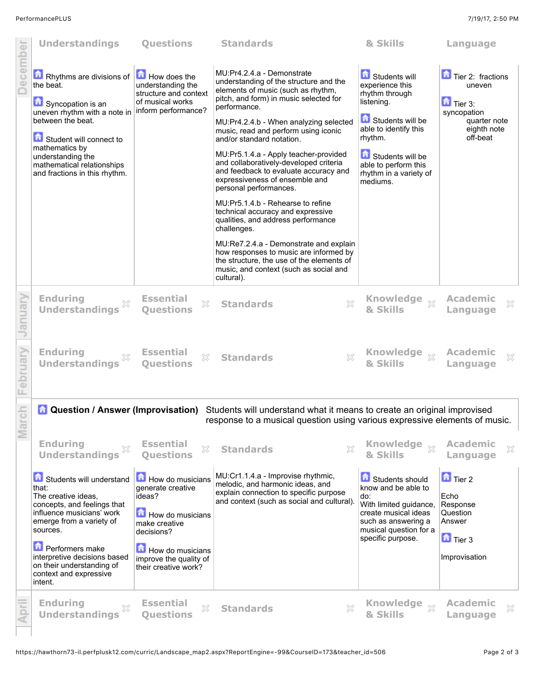|                     | <b>Understandings</b>                                                                                                                                                                                                                                                                      | <b>Questions</b>                                                                                                                                                         | <b>Standards</b>                                                                                                                                                                                                                                                                                                                                                                                                                                                                                                                                                                                                                                                                                                                                                                                    | & Skills                                                                                                                                                                                                   | Language                                                                                                            |
|---------------------|--------------------------------------------------------------------------------------------------------------------------------------------------------------------------------------------------------------------------------------------------------------------------------------------|--------------------------------------------------------------------------------------------------------------------------------------------------------------------------|-----------------------------------------------------------------------------------------------------------------------------------------------------------------------------------------------------------------------------------------------------------------------------------------------------------------------------------------------------------------------------------------------------------------------------------------------------------------------------------------------------------------------------------------------------------------------------------------------------------------------------------------------------------------------------------------------------------------------------------------------------------------------------------------------------|------------------------------------------------------------------------------------------------------------------------------------------------------------------------------------------------------------|---------------------------------------------------------------------------------------------------------------------|
| <b>December</b>     | <b>Example 1</b> Rhythms are divisions of $\boxed{1}$ How does the<br>the beat.<br>Syncopation is an<br>uneven rhythm with a note in<br>between the beat.<br>Student will connect to<br>mathematics by<br>understanding the<br>mathematical relationships<br>and fractions in this rhythm. | understanding the<br>structure and context<br>of musical works<br>inform performance?                                                                                    | MU:Pr4.2.4.a - Demonstrate<br>understanding of the structure and the<br>elements of music (such as rhythm,<br>pitch, and form) in music selected for<br>performance.<br>MU:Pr4.2.4.b - When analyzing selected<br>music, read and perform using iconic<br>and/or standard notation.<br>MU:Pr5.1.4.a - Apply teacher-provided<br>and collaboratively-developed criteria<br>and feedback to evaluate accuracy and<br>expressiveness of ensemble and<br>personal performances.<br>MU:Pr5.1.4.b - Rehearse to refine<br>technical accuracy and expressive<br>qualities, and address performance<br>challenges.<br>MU:Re7.2.4.a - Demonstrate and explain<br>how responses to music are informed by<br>the structure, the use of the elements of<br>music, and context (such as social and<br>cultural). | Students will<br>experience this<br>rhythm through<br>listening.<br>Students will be<br>able to identify this<br>rhythm.<br>Students will be<br>able to perform this<br>rhythm in a variety of<br>mediums. | Tier 2: fractions<br>uneven<br>$\mathbf{\hat{a}}$ Tier 3:<br>syncopation<br>quarter note<br>eighth note<br>off-beat |
| January             | <b>Enduring</b><br><b>Understandings</b>                                                                                                                                                                                                                                                   | <b>Essential</b><br>X<br><b>Ouestions</b>                                                                                                                                | $\gtrsim$<br><b>Standards</b>                                                                                                                                                                                                                                                                                                                                                                                                                                                                                                                                                                                                                                                                                                                                                                       | <b>Knowledge</b><br>$\chi$<br>& Skills                                                                                                                                                                     | <b>Academic</b><br>X<br>Language                                                                                    |
| February            | <b>Enduring</b><br><b>Understandings</b>                                                                                                                                                                                                                                                   | <b>Essential</b><br>X<br><b>Questions</b>                                                                                                                                | <b>Standards</b><br>X                                                                                                                                                                                                                                                                                                                                                                                                                                                                                                                                                                                                                                                                                                                                                                               | <b>Knowledge</b><br>$\chi$<br>& Skills                                                                                                                                                                     | <b>Academic</b><br>X<br>Language                                                                                    |
| $\frac{1}{2}$<br>Σã | <b>A</b> Question / Answer (Improvisation)                                                                                                                                                                                                                                                 |                                                                                                                                                                          | Students will understand what it means to create an original improvised<br>response to a musical question using various expressive elements of music.                                                                                                                                                                                                                                                                                                                                                                                                                                                                                                                                                                                                                                               |                                                                                                                                                                                                            |                                                                                                                     |
|                     | <b>Enduring</b><br>X<br><b>Understandings</b>                                                                                                                                                                                                                                              | <b>Essential</b><br>X<br><b>Ouestions</b>                                                                                                                                | $\gtrsim$<br><b>Standards</b>                                                                                                                                                                                                                                                                                                                                                                                                                                                                                                                                                                                                                                                                                                                                                                       | <b>Knowledge</b><br>$\chi$<br>& Skills                                                                                                                                                                     | <b>Academic</b><br>×<br>Language                                                                                    |
|                     | Students will understand<br>that:<br>The creative ideas.<br>concepts, and feelings that<br>influence musicians' work<br>emerge from a variety of<br>sources.<br><b>Performers make</b><br>interpretive decisions based<br>on their understanding of<br>context and expressive              | How do musicians<br>generate creative<br>ideas?<br>How do musicians<br>make creative<br>decisions?<br>How do musicians<br>improve the quality of<br>their creative work? | MU:Cr1.1.4.a - Improvise rhythmic,<br>melodic, and harmonic ideas, and<br>explain connection to specific purpose<br>and context (such as social and cultural).                                                                                                                                                                                                                                                                                                                                                                                                                                                                                                                                                                                                                                      | Students should<br>know and be able to<br>do:<br>With limited guidance,<br>create musical ideas<br>such as answering a<br>musical question for a<br>specific purpose.                                      | $\Box$ Tier 2<br>Echo<br>Response<br>Question<br>Answer<br>$\Box$ Tier 3<br>Improvisation                           |
| April               | intent.<br><b>Enduring</b><br><b>Understandings</b>                                                                                                                                                                                                                                        | <b>Essential</b><br>X<br><b>Ouestions</b>                                                                                                                                | X<br><b>Standards</b>                                                                                                                                                                                                                                                                                                                                                                                                                                                                                                                                                                                                                                                                                                                                                                               | <b>Knowledge</b><br>$\chi$<br>& Skills                                                                                                                                                                     | Academic<br>X<br>Language                                                                                           |